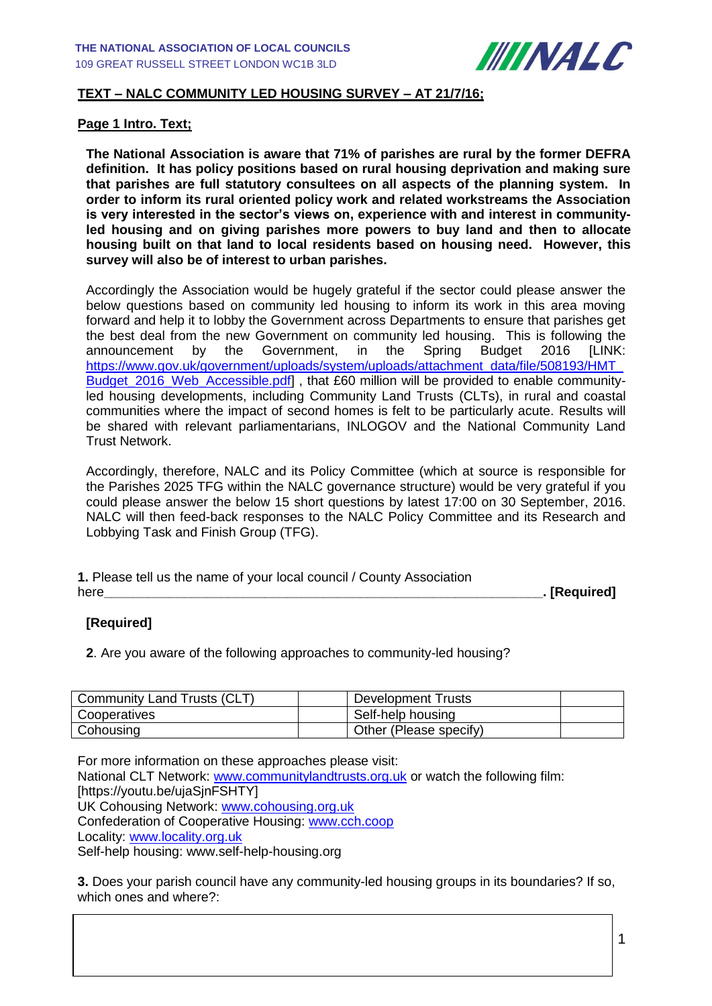

# **TEXT – NALC COMMUNITY LED HOUSING SURVEY – AT 21/7/16;**

#### **Page 1 Intro. Text;**

**The National Association is aware that 71% of parishes are rural by the former DEFRA definition. It has policy positions based on rural housing deprivation and making sure that parishes are full statutory consultees on all aspects of the planning system. In order to inform its rural oriented policy work and related workstreams the Association is very interested in the sector's views on, experience with and interest in communityled housing and on giving parishes more powers to buy land and then to allocate housing built on that land to local residents based on housing need. However, this survey will also be of interest to urban parishes.** 

Accordingly the Association would be hugely grateful if the sector could please answer the below questions based on community led housing to inform its work in this area moving forward and help it to lobby the Government across Departments to ensure that parishes get the best deal from the new Government on community led housing. This is following the announcement by the Government, in the Spring Budget 2016 [LINK: https://www.gov.uk/government/uploads/system/uploads/attachment\_data/file/508193/HMT Budget 2016 Web Accessible.pdf], that £60 million will be provided to enable communityled housing developments, including Community Land Trusts (CLTs), in rural and coastal communities where the impact of second homes is felt to be particularly acute. Results will be shared with relevant parliamentarians, INLOGOV and the National Community Land Trust Network.

Accordingly, therefore, NALC and its Policy Committee (which at source is responsible for the Parishes 2025 TFG within the NALC governance structure) would be very grateful if you could please answer the below 15 short questions by latest 17:00 on 30 September, 2016. NALC will then feed-back responses to the NALC Policy Committee and its Research and Lobbying Task and Finish Group (TFG).

| 1. Please tell us the name of your local council / County Association |                           |
|-----------------------------------------------------------------------|---------------------------|
| here                                                                  | <sub>-</sub> . [Required] |

# **[Required]**

**2**. Are you aware of the following approaches to community-led housing?

| Community Land Trusts (CLT) | Development Trusts     |  |
|-----------------------------|------------------------|--|
| Cooperatives                | Self-help housing      |  |
| Cohousing                   | Other (Please specify) |  |

For more information on these approaches please visit: National CLT Network: [www.communitylandtrusts.org.uk](http://www.communitylandtrusts.org.uk/) or watch the following film: [https://youtu.be/ujaSjnFSHTY] UK Cohousing Network: [www.cohousing.org.uk](http://www.cohousing.org.uk/) Confederation of Cooperative Housing: [www.cch.coop](http://www.cch.coop/) Locality: [www.locality.org.uk](http://www.locality.org.uk/) Self-help housing: www.self-help-housing.org

**3.** Does your parish council have any community-led housing groups in its boundaries? If so, which ones and where?: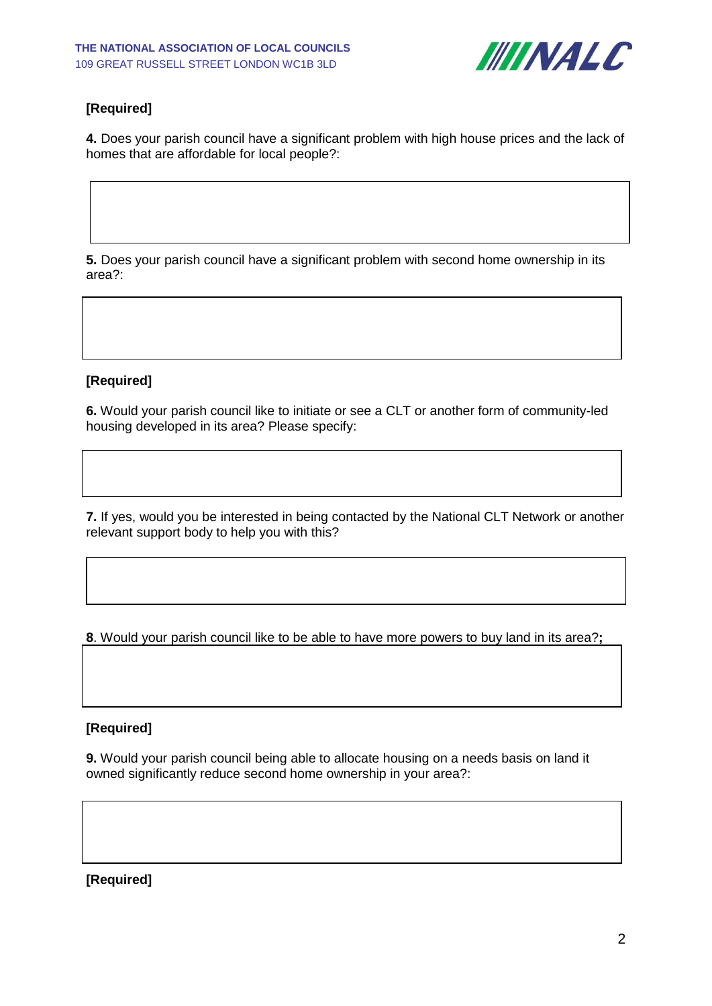

# **[Required]**

**4.** Does your parish council have a significant problem with high house prices and the lack of homes that are affordable for local people?:

**5.** Does your parish council have a significant problem with second home ownership in its area?:

# **[Required]**

**6.** Would your parish council like to initiate or see a CLT or another form of community-led housing developed in its area? Please specify:

**7.** If yes, would you be interested in being contacted by the National CLT Network or another relevant support body to help you with this?

**8**. Would your parish council like to be able to have more powers to buy land in its area?**;**

### **[Required]**

**9.** Would your parish council being able to allocate housing on a needs basis on land it owned significantly reduce second home ownership in your area?:

### **[Required]**